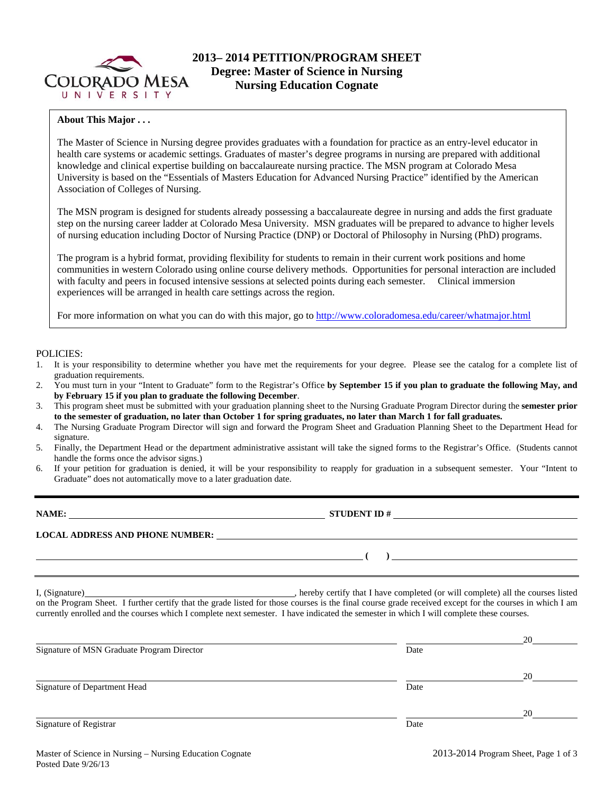

### **About This Major . . .**

The Master of Science in Nursing degree provides graduates with a foundation for practice as an entry-level educator in health care systems or academic settings. Graduates of master's degree programs in nursing are prepared with additional knowledge and clinical expertise building on baccalaureate nursing practice. The MSN program at Colorado Mesa University is based on the "Essentials of Masters Education for Advanced Nursing Practice" identified by the American Association of Colleges of Nursing.

The MSN program is designed for students already possessing a baccalaureate degree in nursing and adds the first graduate step on the nursing career ladder at Colorado Mesa University. MSN graduates will be prepared to advance to higher levels of nursing education including Doctor of Nursing Practice (DNP) or Doctoral of Philosophy in Nursing (PhD) programs.

The program is a hybrid format, providing flexibility for students to remain in their current work positions and home communities in western Colorado using online course delivery methods. Opportunities for personal interaction are included with faculty and peers in focused intensive sessions at selected points during each semester. Clinical immersion experiences will be arranged in health care settings across the region.

For more information on what you can do with this major, go to http://www.coloradomesa.edu/career/whatmajor.html

#### POLICIES:

- 1. It is your responsibility to determine whether you have met the requirements for your degree. Please see the catalog for a complete list of graduation requirements.
- 2. You must turn in your "Intent to Graduate" form to the Registrar's Office **by September 15 if you plan to graduate the following May, and by February 15 if you plan to graduate the following December**.
- 3. This program sheet must be submitted with your graduation planning sheet to the Nursing Graduate Program Director during the **semester prior to the semester of graduation, no later than October 1 for spring graduates, no later than March 1 for fall graduates.**
- 4. The Nursing Graduate Program Director will sign and forward the Program Sheet and Graduation Planning Sheet to the Department Head for signature.
- 5. Finally, the Department Head or the department administrative assistant will take the signed forms to the Registrar's Office. (Students cannot handle the forms once the advisor signs.)
- 6. If your petition for graduation is denied, it will be your responsibility to reapply for graduation in a subsequent semester. Your "Intent to Graduate" does not automatically move to a later graduation date.

|                                                                                                                                                                                                                                                                                                     | $STUDENT ID # \nightharpoonup$ |                                                     |
|-----------------------------------------------------------------------------------------------------------------------------------------------------------------------------------------------------------------------------------------------------------------------------------------------------|--------------------------------|-----------------------------------------------------|
| LOCAL ADDRESS AND PHONE NUMBER: University of the contract of the contract of the contract of the contract of the contract of the contract of the contract of the contract of the contract of the contract of the contract of                                                                       |                                |                                                     |
| <u> 2000 - Andrea Britain, amerikan personal (h. 1878).</u>                                                                                                                                                                                                                                         |                                | ) and the contract of the contract of $\mathcal{L}$ |
| on the Program Sheet. I further certify that the grade listed for those courses is the final course grade received except for the courses in which I am<br>currently enrolled and the courses which I complete next semester. I have indicated the semester in which I will complete these courses. |                                |                                                     |
|                                                                                                                                                                                                                                                                                                     |                                |                                                     |
| Signature of MSN Graduate Program Director                                                                                                                                                                                                                                                          | Date                           |                                                     |
|                                                                                                                                                                                                                                                                                                     |                                | $20^{\circ}$                                        |
| Signature of Department Head                                                                                                                                                                                                                                                                        | Date                           |                                                     |
|                                                                                                                                                                                                                                                                                                     |                                | 20                                                  |
| Signature of Registrar                                                                                                                                                                                                                                                                              | Date                           |                                                     |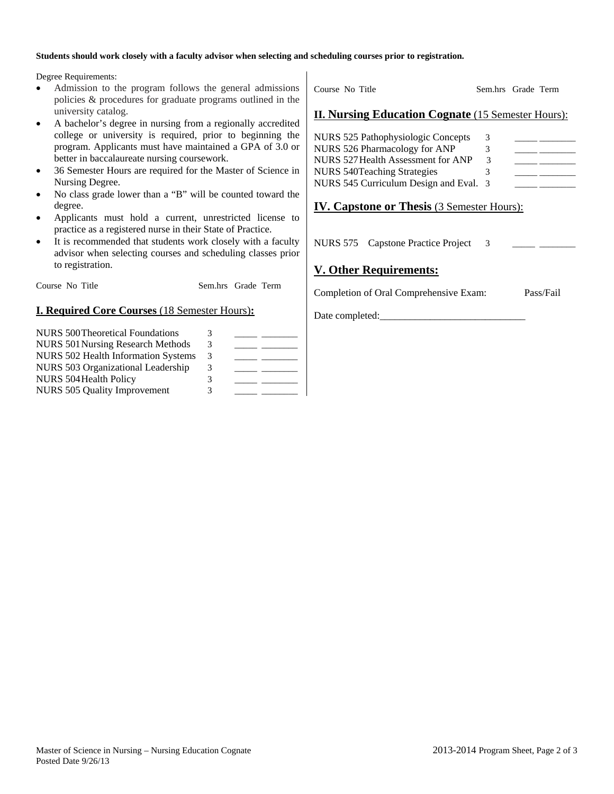#### **Students should work closely with a faculty advisor when selecting and scheduling courses prior to registration.**

Degree Requirements:

- Admission to the program follows the general admissions policies & procedures for graduate programs outlined in the university catalog.
- A bachelor's degree in nursing from a regionally accredited college or university is required, prior to beginning the program. Applicants must have maintained a GPA of 3.0 or better in baccalaureate nursing coursework.
- 36 Semester Hours are required for the Master of Science in Nursing Degree.
- No class grade lower than a "B" will be counted toward the degree.
- Applicants must hold a current, unrestricted license to practice as a registered nurse in their State of Practice.
- It is recommended that students work closely with a faculty advisor when selecting courses and scheduling classes prior to registration.

Course No Title Sem.hrs Grade Term

### **I. Required Core Courses** (18 Semester Hours)**:**

| <b>NURS 500 Theoretical Foundations</b>    | 3 |  |
|--------------------------------------------|---|--|
| <b>NURS 501 Nursing Research Methods</b>   | 3 |  |
| <b>NURS 502 Health Information Systems</b> | 3 |  |
| NURS 503 Organizational Leadership         | 3 |  |
| NURS 504 Health Policy                     | 3 |  |
| <b>NURS 505 Quality Improvement</b>        | 3 |  |

Course No Title Sem.hrs Grade Term

### **II. Nursing Education Cognate** (15 Semester Hours):

| NURS 525 Pathophysiologic Concepts     | 3  |  |
|----------------------------------------|----|--|
| NURS 526 Pharmacology for ANP          | 3. |  |
| NURS 527 Health Assessment for ANP     | 3  |  |
| <b>NURS 540Teaching Strategies</b>     |    |  |
| NURS 545 Curriculum Design and Eval. 3 |    |  |

## **IV. Capstone or Thesis** (3 Semester Hours):

NURS 575 Capstone Practice Project 3

## **V. Other Requirements:**

Completion of Oral Comprehensive Exam: Pass/Fail

Date completed: